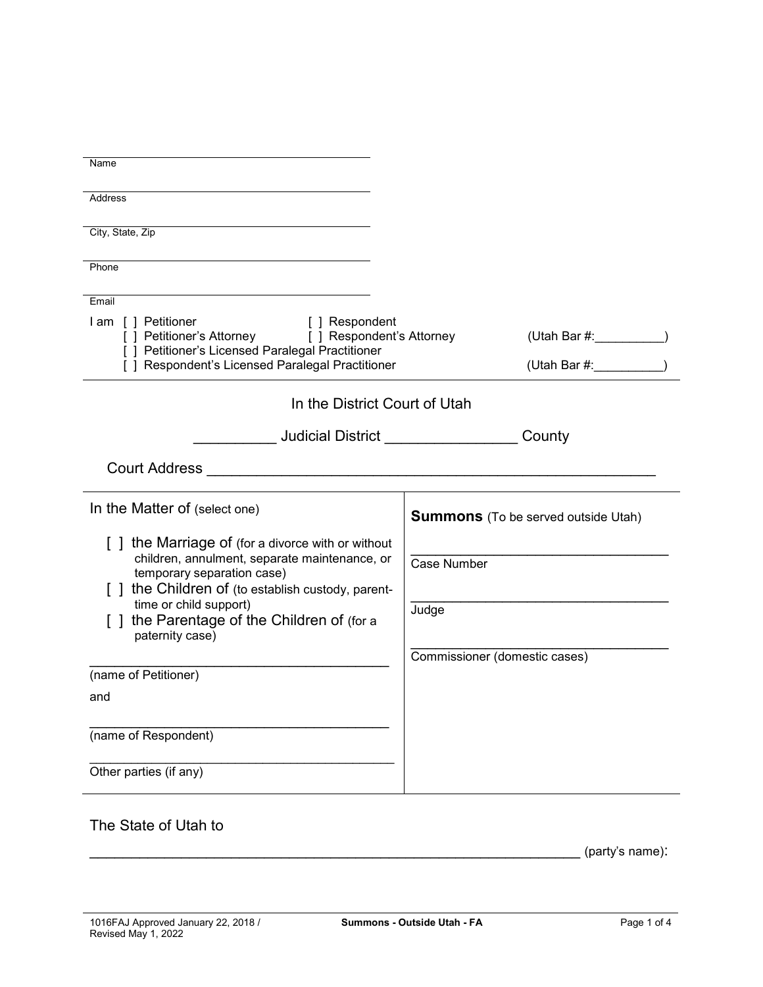| Name                                                                                                 |                                            |  |  |  |
|------------------------------------------------------------------------------------------------------|--------------------------------------------|--|--|--|
| Address                                                                                              |                                            |  |  |  |
| City, State, Zip                                                                                     |                                            |  |  |  |
| Phone                                                                                                |                                            |  |  |  |
| Email                                                                                                |                                            |  |  |  |
| I am [] Petitioner<br>[ ] Respondent<br>[ ] Petitioner's Attorney [ ] Respondent's Attorney          | (Utah Bar #:                               |  |  |  |
| [ ] Petitioner's Licensed Paralegal Practitioner<br>[ ] Respondent's Licensed Paralegal Practitioner | (Utah Bar #:______                         |  |  |  |
| In the District Court of Utah                                                                        |                                            |  |  |  |
| <b>Example 2016 Judicial District</b> District<br>County                                             |                                            |  |  |  |
| Court Address New York Court Address                                                                 |                                            |  |  |  |
| In the Matter of (select one)                                                                        | <b>Summons</b> (To be served outside Utah) |  |  |  |
| [] the Marriage of (for a divorce with or without<br>children, annulment, separate maintenance, or   | <b>Case Number</b>                         |  |  |  |
| temporary separation case)<br>[] the Children of (to establish custody, parent-                      |                                            |  |  |  |
| time or child support)<br>[] the Parentage of the Children of (for a                                 | Judge                                      |  |  |  |
| paternity case)                                                                                      | Commissioner (domestic cases)              |  |  |  |
| (name of Petitioner)                                                                                 |                                            |  |  |  |
| and                                                                                                  |                                            |  |  |  |
| (name of Respondent)                                                                                 |                                            |  |  |  |
| Other parties (if any)                                                                               |                                            |  |  |  |

## The State of Utah to

 $\_$  (party's name):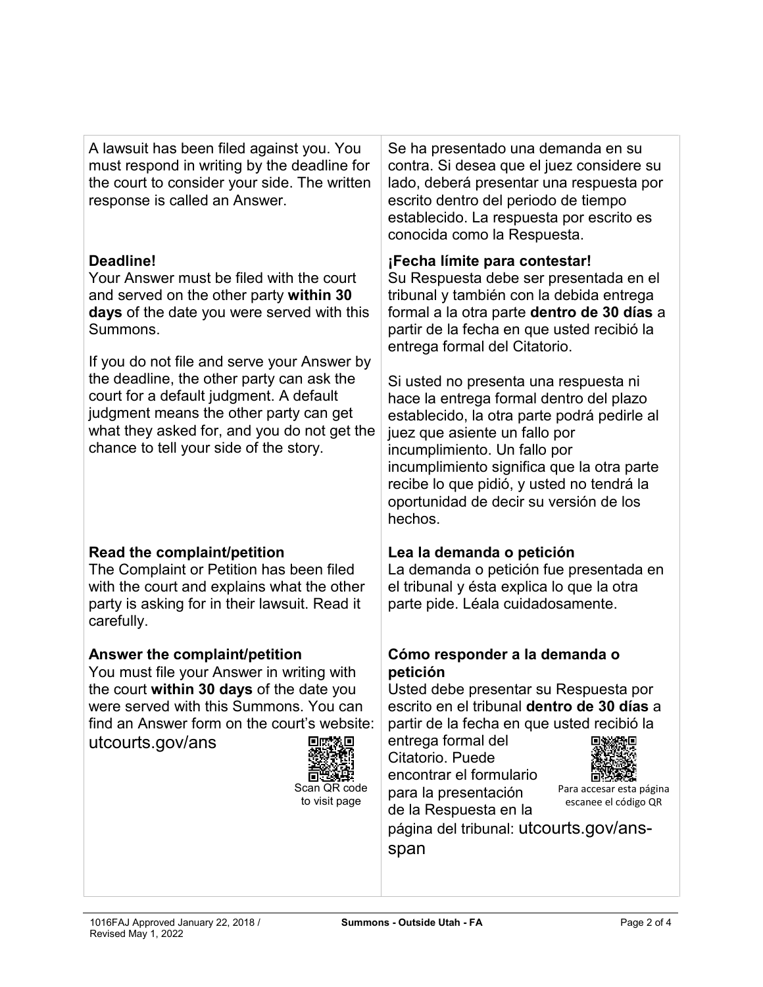| A lawsuit has been filed against you. You<br>must respond in writing by the deadline for<br>the court to consider your side. The written<br>response is called an Answer.                                                                                                                                                                                                                                                            | Se ha presentado una demanda en su<br>contra. Si desea que el juez considere su<br>lado, deberá presentar una respuesta por<br>escrito dentro del periodo de tiempo<br>establecido. La respuesta por escrito es<br>conocida como la Respuesta.                                                                                                                                                                                                                                                                                                                                                       |
|--------------------------------------------------------------------------------------------------------------------------------------------------------------------------------------------------------------------------------------------------------------------------------------------------------------------------------------------------------------------------------------------------------------------------------------|------------------------------------------------------------------------------------------------------------------------------------------------------------------------------------------------------------------------------------------------------------------------------------------------------------------------------------------------------------------------------------------------------------------------------------------------------------------------------------------------------------------------------------------------------------------------------------------------------|
| Deadline!<br>Your Answer must be filed with the court<br>and served on the other party within 30<br>days of the date you were served with this<br>Summons.<br>If you do not file and serve your Answer by<br>the deadline, the other party can ask the<br>court for a default judgment. A default<br>judgment means the other party can get<br>what they asked for, and you do not get the<br>chance to tell your side of the story. | ¡Fecha límite para contestar!<br>Su Respuesta debe ser presentada en el<br>tribunal y también con la debida entrega<br>formal a la otra parte dentro de 30 días a<br>partir de la fecha en que usted recibió la<br>entrega formal del Citatorio.<br>Si usted no presenta una respuesta ni<br>hace la entrega formal dentro del plazo<br>establecido, la otra parte podrá pedirle al<br>juez que asiente un fallo por<br>incumplimiento. Un fallo por<br>incumplimiento significa que la otra parte<br>recibe lo que pidió, y usted no tendrá la<br>oportunidad de decir su versión de los<br>hechos. |
| Read the complaint/petition<br>The Complaint or Petition has been filed<br>with the court and explains what the other<br>party is asking for in their lawsuit. Read it<br>carefully.                                                                                                                                                                                                                                                 | Lea la demanda o petición<br>La demanda o petición fue presentada en<br>el tribunal y ésta explica lo que la otra<br>parte pide. Léala cuidadosamente.                                                                                                                                                                                                                                                                                                                                                                                                                                               |
| Answer the complaint/petition<br>You must file your Answer in writing with<br>the court within 30 days of the date you<br>were served with this Summons. You can<br>find an Answer form on the court's website:<br>utcourts.gov/ans<br>口既然回<br>Scan QR code<br>to visit page                                                                                                                                                         | Cómo responder a la demanda o<br>petición<br>Usted debe presentar su Respuesta por<br>escrito en el tribunal dentro de 30 días a<br>partir de la fecha en que usted recibió la<br>entrega formal del<br>Citatorio. Puede<br>encontrar el formulario<br>Para accesar esta página<br>para la presentación<br>escanee el código QR<br>de la Respuesta en la<br>página del tribunal: utcourts.gov/ans-<br>span                                                                                                                                                                                           |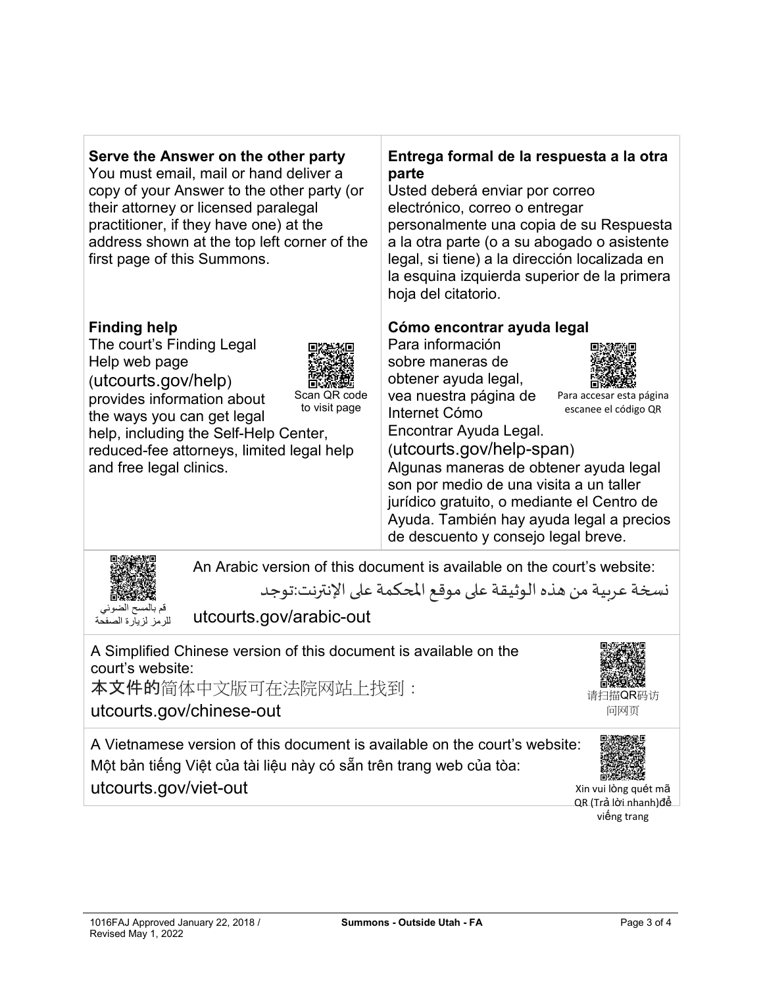| Serve the Answer on the other party<br>You must email, mail or hand deliver a<br>copy of your Answer to the other party (or<br>their attorney or licensed paralegal<br>practitioner, if they have one) at the<br>address shown at the top left corner of the<br>first page of this Summons.            | Entrega formal de la respuesta a la otra<br>parte<br>Usted deberá enviar por correo<br>electrónico, correo o entregar<br>personalmente una copia de su Respuesta<br>a la otra parte (o a su abogado o asistente<br>legal, si tiene) a la dirección localizada en<br>la esquina izquierda superior de la primera<br>hoja del citatorio.                                                                                                                               |  |
|--------------------------------------------------------------------------------------------------------------------------------------------------------------------------------------------------------------------------------------------------------------------------------------------------------|----------------------------------------------------------------------------------------------------------------------------------------------------------------------------------------------------------------------------------------------------------------------------------------------------------------------------------------------------------------------------------------------------------------------------------------------------------------------|--|
| <b>Finding help</b><br>The court's Finding Legal<br>Help web page<br>(utcourts.gov/help)<br>Scan QR code<br>provides information about<br>to visit page<br>the ways you can get legal<br>help, including the Self-Help Center,<br>reduced-fee attorneys, limited legal help<br>and free legal clinics. | Cómo encontrar ayuda legal<br>Para información<br>sobre maneras de<br>obtener ayuda legal,<br>vea nuestra página de<br>Para accesar esta página<br>escanee el código QR<br>Internet Cómo<br>Encontrar Ayuda Legal.<br>(utcourts.gov/help-span)<br>Algunas maneras de obtener ayuda legal<br>son por medio de una visita a un taller<br>jurídico gratuito, o mediante el Centro de<br>Ayuda. También hay ayuda legal a precios<br>de descuento y consejo legal breve. |  |
| An Arabic version of this document is available on the court's website:<br>نسخة عربية من هذه الوثيقة على موقع المحكمة على الإنترنت:توجد<br>قم بالمسح الضوئي<br>utcourts.gov/arabic-out<br>للرمز لزيارة الصفحة                                                                                          |                                                                                                                                                                                                                                                                                                                                                                                                                                                                      |  |
| A Simplified Chinese version of this document is available on the<br>court's website:<br>本文件的简体中文版可在法院网站上找到:<br>请扫描QR码访<br>utcourts.gov/chinese-out<br>问网页                                                                                                                                             |                                                                                                                                                                                                                                                                                                                                                                                                                                                                      |  |
| A Vietnamese version of this document is available on the court's website:<br>Một bản tiếng Việt của tài liệu này có sẵn trên trang web của tòa:<br>utcourts.gov/viet-out<br>Xin vui lòng quét mã<br>QR (Trả lời nhanh)để                                                                              |                                                                                                                                                                                                                                                                                                                                                                                                                                                                      |  |